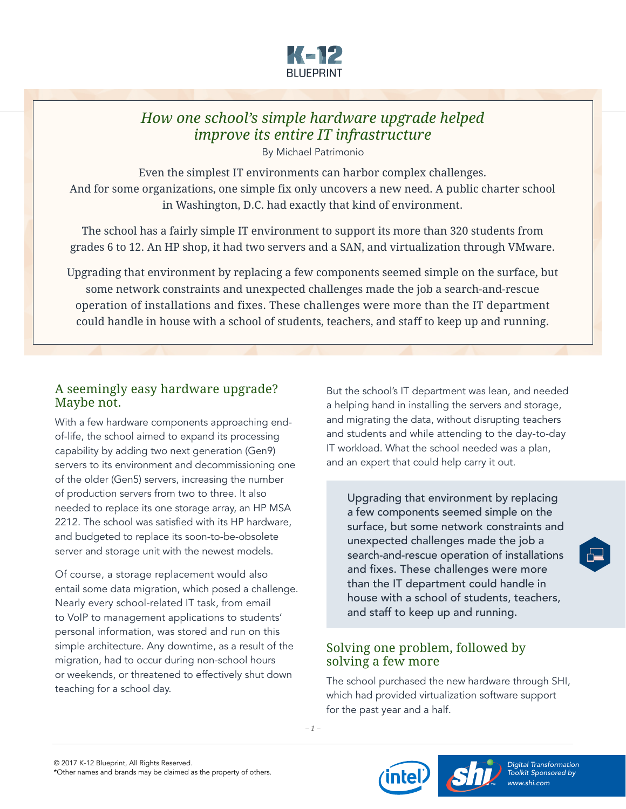

## *How one school's simple hardware upgrade helped improve its entire IT infrastructure*

By Michael Patrimonio

Even the simplest IT environments can harbor complex challenges. And for some organizations, one simple fix only uncovers a new need. A public charter school in Washington, D.C. had exactly that kind of environment.

The school has a fairly simple IT environment to support its more than 320 students from grades 6 to 12. An HP shop, it had two servers and a SAN, and virtualization through VMware.

Upgrading that environment by replacing a few components seemed simple on the surface, but some network constraints and unexpected challenges made the job a search-and-rescue operation of installations and fixes. These challenges were more than the IT department could handle in house with a school of students, teachers, and staff to keep up and running.

## A seemingly easy hardware upgrade? Maybe not.

With a few hardware components approaching endof-life, the school aimed to expand its processing capability by adding two next generation (Gen9) servers to its environment and decommissioning one of the older (Gen5) servers, increasing the number of production servers from two to three. It also needed to replace its one storage array, an HP MSA 2212. The school was satisfied with its HP hardware, and budgeted to replace its soon-to-be-obsolete server and storage unit with the newest models.

Of course, a storage replacement would also entail some data migration, which posed a challenge. Nearly every school-related IT task, from email to VoIP to management applications to students' personal information, was stored and run on this simple architecture. Any downtime, as a result of the migration, had to occur during non-school hours or weekends, or threatened to effectively shut down teaching for a school day.

But the school's IT department was lean, and needed a helping hand in installing the servers and storage, and migrating the data, without disrupting teachers and students and while attending to the day-to-day IT workload. What the school needed was a plan, and an expert that could help carry it out.

Upgrading that environment by replacing a few components seemed simple on the surface, but some network constraints and unexpected challenges made the job a search-and-rescue operation of installations and fixes. These challenges were more than the IT department could handle in house with a school of students, teachers, and staff to keep up and running.

## Solving one problem, followed by solving a few more

The school purchased the new hardware through SHI, which had provided virtualization software support for the past year and a half.